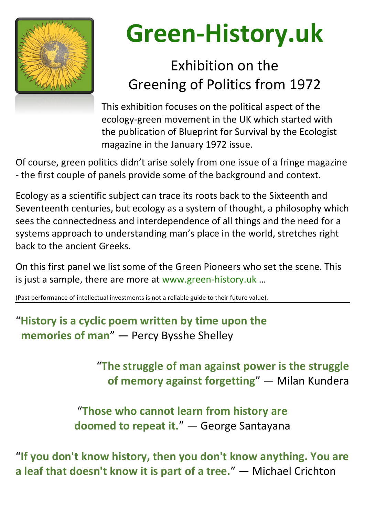

## **Green-History.uk**

## Exhibition on the Greening of Politics from 1972

This exhibition focuses on the political aspect of the ecology-green movement in the UK which started with the publication of Blueprint for Survival by the Ecologist magazine in the January 1972 issue.

Of course, green politics didn't arise solely from one issue of a fringe magazine - the first couple of panels provide some of the background and context.

Ecology as a scientific subject can trace its roots back to the Sixteenth and Seventeenth centuries, but ecology as a system of thought, a philosophy which sees the connectedness and interdependence of all things and the need for a systems approach to understanding man's place in the world, stretches right back to the ancient Greeks.

On this first panel we list some of the Green Pioneers who set the scene. This is just a sample, there are more at www.green-history.uk …

(Past performance of intellectual investments is not a reliable guide to their future value).

### "**History is a cyclic poem written by time upon the memories of man**" ― Percy Bysshe Shelley

"**The struggle of man against power is the struggle of memory against forgetting**" ― Milan Kundera

#### "**Those who cannot learn from history are doomed to repeat it.**" ― George Santayana

"**If you don't know history, then you don't know anything. You are a leaf that doesn't know it is part of a tree.**" ― Michael Crichton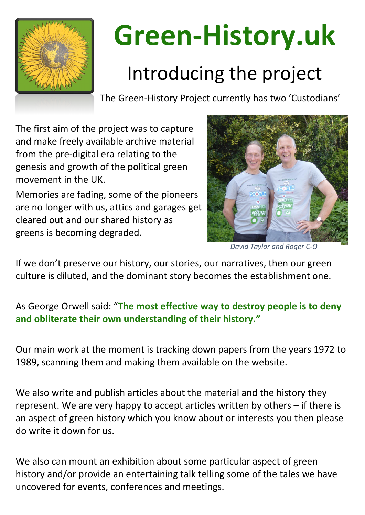

# **Green-History.uk**

## Introducing the project

The Green-History Project currently has two 'Custodians'

The first aim of the project was to capture and make freely available archive material from the pre-digital era relating to the genesis and growth of the political green movement in the UK.

Memories are fading, some of the pioneers are no longer with us, attics and garages get cleared out and our shared history as greens is becoming degraded.

If we don't preserve our history, our stories, our narratives, then our green culture is diluted, and the dominant story becomes the establishment one.

We also can mount an exhibition about some particular aspect of green history and/or provide an entertaining talk telling some of the tales we have uncovered for events, conferences and meetings.

#### As George Orwell said: "**The most effective way to destroy people is to deny and obliterate their own understanding of their history."**

Our main work at the moment is tracking down papers from the years 1972 to 1989, scanning them and making them available on the website.

We also write and publish articles about the material and the history they represent. We are very happy to accept articles written by others – if there is an aspect of green history which you know about or interests you then please do write it down for us.



*David Taylor and Roger C-O*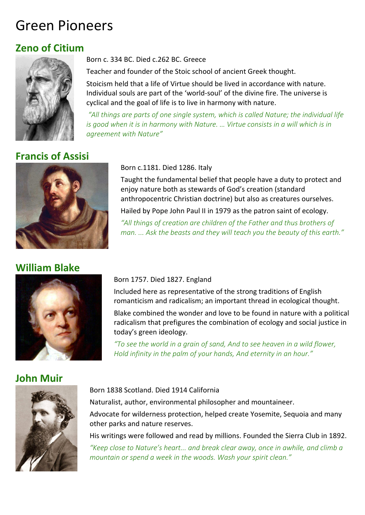### Green Pioneers

#### **Zeno of Citium**



#### Born c. 334 BC. Died c.262 BC. Greece

Teacher and founder of the Stoic school of ancient Greek thought.

Stoicism held that a life of Virtue should be lived in accordance with nature. Individual souls are part of the 'world-soul' of the divine fire. The universe is cyclical and the goal of life is to live in harmony with nature.

*"All things are parts of one single system, which is called Nature; the individual life is good when it is in harmony with Nature. ... Virtue consists in a will which is in agreement with Nature"*

#### **Francis of Assisi**



#### Born c.1181. Died 1286. Italy

Taught the fundamental belief that people have a duty to protect and enjoy nature both as stewards of God's creation (standard anthropocentric Christian doctrine) but also as creatures ourselves.

Hailed by Pope John Paul II in 1979 as the patron saint of ecology.

*"All things of creation are children of the Father and thus brothers of man. ... Ask the beasts and they will teach you the beauty of this earth."*

#### **William Blake**



#### Born 1757. Died 1827. England

Included here as representative of the strong traditions of English romanticism and radicalism; an important thread in ecological thought.

Blake combined the wonder and love to be found in nature with a political radicalism that prefigures the combination of ecology and social justice in today's green ideology.

*"To see the world in a grain of sand, And to see heaven in a wild flower, Hold infinity in the palm of your hands, And eternity in an hour."*

#### **John Muir**



#### Born 1838 Scotland. Died 1914 California

Naturalist, author, environmental philosopher and mountaineer.

Advocate for wilderness protection, helped create Yosemite, Sequoia and many other parks and nature reserves.

His writings were followed and read by millions. Founded the Sierra Club in 1892. *"Keep close to Nature's heart... and break clear away, once in awhile, and climb a mountain or spend a week in the woods. Wash your spirit clean."*